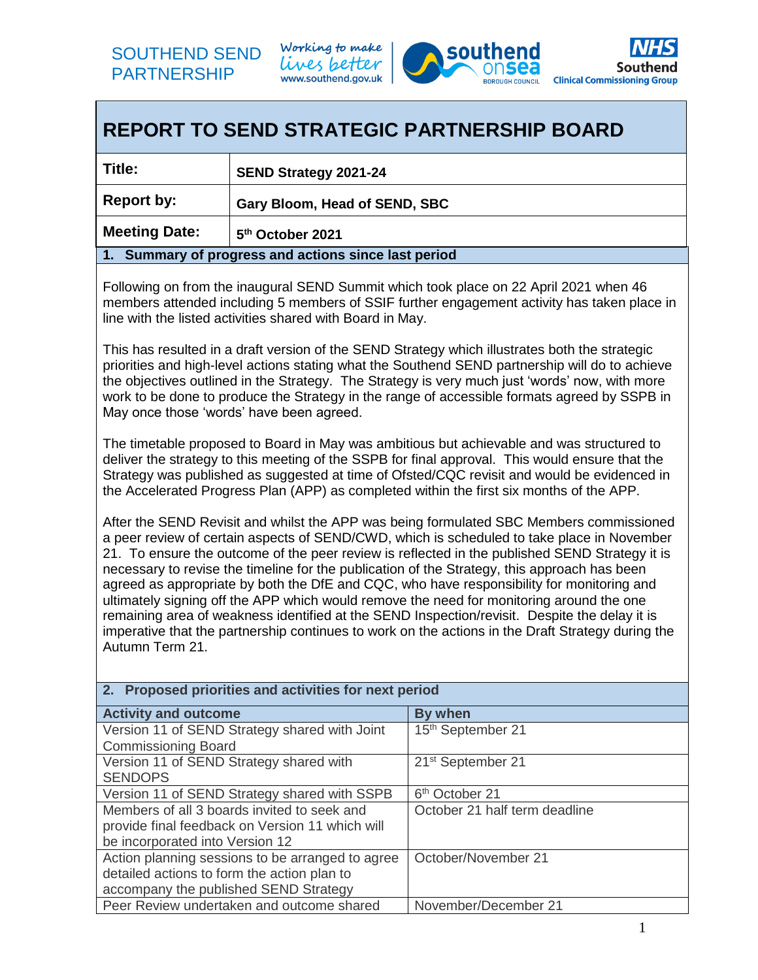## SOUTHEND SEND PARTNERSHIP

Working to make lives better www.southend.gov.uk





## **REPORT TO SEND STRATEGIC PARTNERSHIP BOARD**

| Title:                                               | SEND Strategy 2021-24         |  |
|------------------------------------------------------|-------------------------------|--|
| Report by:                                           | Gary Bloom, Head of SEND, SBC |  |
| <b>Meeting Date:</b><br>5 <sup>th</sup> October 2021 |                               |  |
| 1. Summary of progress and actions since last period |                               |  |

Following on from the inaugural SEND Summit which took place on 22 April 2021 when 46 members attended including 5 members of SSIF further engagement activity has taken place in line with the listed activities shared with Board in May.

This has resulted in a draft version of the SEND Strategy which illustrates both the strategic priorities and high-level actions stating what the Southend SEND partnership will do to achieve the objectives outlined in the Strategy. The Strategy is very much just 'words' now, with more work to be done to produce the Strategy in the range of accessible formats agreed by SSPB in May once those 'words' have been agreed.

The timetable proposed to Board in May was ambitious but achievable and was structured to deliver the strategy to this meeting of the SSPB for final approval. This would ensure that the Strategy was published as suggested at time of Ofsted/CQC revisit and would be evidenced in the Accelerated Progress Plan (APP) as completed within the first six months of the APP.

After the SEND Revisit and whilst the APP was being formulated SBC Members commissioned a peer review of certain aspects of SEND/CWD, which is scheduled to take place in November 21. To ensure the outcome of the peer review is reflected in the published SEND Strategy it is necessary to revise the timeline for the publication of the Strategy, this approach has been agreed as appropriate by both the DfE and CQC, who have responsibility for monitoring and ultimately signing off the APP which would remove the need for monitoring around the one remaining area of weakness identified at the SEND Inspection/revisit. Despite the delay it is imperative that the partnership continues to work on the actions in the Draft Strategy during the Autumn Term 21.

| 2. Proposed priorities and activities for next period |                               |  |  |
|-------------------------------------------------------|-------------------------------|--|--|
| <b>Activity and outcome</b>                           | By when                       |  |  |
| Version 11 of SEND Strategy shared with Joint         | 15 <sup>th</sup> September 21 |  |  |
| <b>Commissioning Board</b>                            |                               |  |  |
| Version 11 of SEND Strategy shared with               | 21 <sup>st</sup> September 21 |  |  |
| <b>SENDOPS</b>                                        |                               |  |  |
| Version 11 of SEND Strategy shared with SSPB          | 6 <sup>th</sup> October 21    |  |  |
| Members of all 3 boards invited to seek and           | October 21 half term deadline |  |  |
| provide final feedback on Version 11 which will       |                               |  |  |
| be incorporated into Version 12                       |                               |  |  |
| Action planning sessions to be arranged to agree      | October/November 21           |  |  |
| detailed actions to form the action plan to           |                               |  |  |
| accompany the published SEND Strategy                 |                               |  |  |
| Peer Review undertaken and outcome shared             | November/December 21          |  |  |